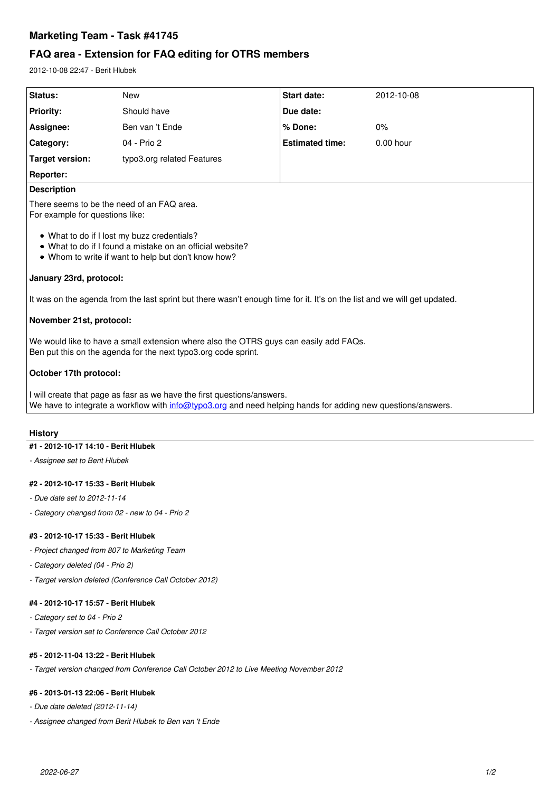# **Marketing Team - Task #41745**

# **FAQ area - Extension for FAQ editing for OTRS members**

2012-10-08 22:47 - Berit Hlubek

| <b>Start date:</b>                                                                                                                                                                      | 2012-10-08  |  |
|-----------------------------------------------------------------------------------------------------------------------------------------------------------------------------------------|-------------|--|
| Due date:                                                                                                                                                                               |             |  |
| % Done:                                                                                                                                                                                 | 0%          |  |
| <b>Estimated time:</b>                                                                                                                                                                  | $0.00$ hour |  |
|                                                                                                                                                                                         |             |  |
|                                                                                                                                                                                         |             |  |
| <b>Description</b>                                                                                                                                                                      |             |  |
| There seems to be the need of an FAQ area.<br>For example for questions like:                                                                                                           |             |  |
| • What to do if I lost my buzz credentials?<br>• What to do if I found a mistake on an official website?<br>• Whom to write if want to help but don't know how?                         |             |  |
| January 23rd, protocol:                                                                                                                                                                 |             |  |
| It was on the agenda from the last sprint but there wasn't enough time for it. It's on the list and we will get updated.                                                                |             |  |
| November 21st, protocol:                                                                                                                                                                |             |  |
| We would like to have a small extension where also the OTRS guys can easily add FAQs.<br>Ben put this on the agenda for the next typo3.org code sprint.                                 |             |  |
| October 17th protocol:                                                                                                                                                                  |             |  |
| I will create that page as fasr as we have the first questions/answers.<br>We have to integrate a workflow with info@typo3.org and need helping hands for adding new questions/answers. |             |  |
|                                                                                                                                                                                         |             |  |

### **History**

### **#1 - 2012-10-17 14:10 - Berit Hlubek**

*- Assignee set to Berit Hlubek*

### **#2 - 2012-10-17 15:33 - Berit Hlubek**

- *Due date set to 2012-11-14*
- *Category changed from 02 new to 04 Prio 2*

### **#3 - 2012-10-17 15:33 - Berit Hlubek**

- *Project changed from 807 to Marketing Team*
- *Category deleted (04 Prio 2)*
- *Target version deleted (Conference Call October 2012)*

## **#4 - 2012-10-17 15:57 - Berit Hlubek**

- *Category set to 04 Prio 2*
- *Target version set to Conference Call October 2012*

### **#5 - 2012-11-04 13:22 - Berit Hlubek**

*- Target version changed from Conference Call October 2012 to Live Meeting November 2012*

## **#6 - 2013-01-13 22:06 - Berit Hlubek**

- *Due date deleted (2012-11-14)*
- *Assignee changed from Berit Hlubek to Ben van 't Ende*